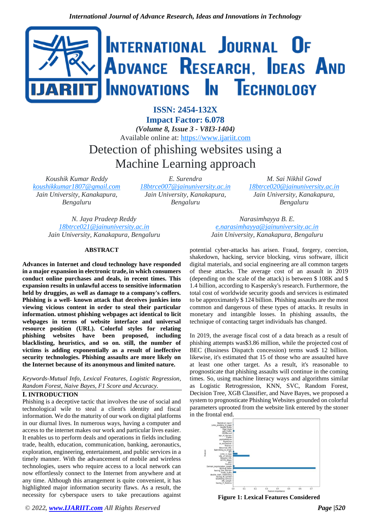

**ISSN: 2454-132X Impact Factor: 6.078** *(Volume 8, Issue 3 - V8I3-1404)* Available online at: [https://www.ijariit.com](https://www.ijariit.com/?utm_source=pdf&utm_medium=edition&utm_campaign=OmAkSols&utm_term=V8I3-1404) Detection of phishing websites using a Machine Learning approach

*Koushik Kumar Reddy [koushikkumar1807@gmail.com](mailto:koushikkumar1807@gmail.com) Jain University, Kanakapura, Bengaluru*

*E. Surendra [18btrce007@jainuniversity.ac.in](mailto:18btrce007@jainuniversity.ac.in) Jain University, Kanakapura, Bengaluru*

*M. Sai Nikhil Gowd [18btrce020@jainuniversity.ac.in](mailto:18btrce020@jainuniversity.ac.in) Jain University, Kanakapura, Bengaluru*

*N. Jaya Pradeep Reddy [18btrce021@jainuniversity.ac.in](mailto:18btrce021@jainuniversity.ac.in) Jain University, Kanakapura, Bengaluru*

### **ABSTRACT**

**Advances in Internet and cloud technology have responded in a major expansion in electronic trade, in which consumers conduct online purchases and deals, in recent times. This expansion results in unlawful access to sensitive information held by druggies, as well as damage to a company's coffers. Phishing is a well- known attack that deceives junkies into viewing vicious content in order to steal their particular information. utmost phishing webpages act identical to licit webpages in terms of website interface and universal resource position (URL). Colorful styles for relating phishing websites have been proposed, including blacklisting, heuristics, and so on. still, the number of victims is adding exponentially as a result of ineffective security technologies. Phishing assaults are more likely on the Internet because of its anonymous and limited nature.**

*Keywords-Mutual Info, Lexical Features, Logistic Regression, Random Forest, Naive Bayes, F1 Score and Accuracy.*

# **I. INTRODUCTION**

Phishing is a deceptive tactic that involves the use of social and technological wile to steal a client's identity and fiscal information. We do the maturity of our work on digital platforms in our diurnal lives. In numerous ways, having a computer and access to the internet makes our work and particular lives easier. It enables us to perform deals and operations in fields including trade, health, education, communication, banking, aeronautics, exploration, engineering, entertainment, and public services in a timely manner. With the advancement of mobile and wireless technologies, users who require access to a local network can now effortlessly connect to the Internet from anywhere and at any time. Although this arrangement is quite convenient, it has highlighted major information security flaws. As a result, the necessity for cyberspace users to take precautions against

*Narasimhayya B. E. [e.narasimhayya@jainuniversity.ac.in](mailto:e.narasimhayya@jainuniversity.ac.in) Jain University, Kanakapura, Bengaluru*

potential cyber-attacks has arisen. Fraud, forgery, coercion, shakedown, hacking, service blocking, virus software, illicit digital materials, and social engineering are all common targets of these attacks. The average cost of an assault in 2019 (depending on the scale of the attack) is between \$ 108K and \$ 1.4 billion, according to Kaspersky's research. Furthermore, the total cost of worldwide security goods and services is estimated to be approximately \$ 124 billion. Phishing assaults are the most common and dangerous of these types of attacks. It results in monetary and intangible losses. In phishing assaults, the technique of contacting target individuals has changed.

In 2019, the average fiscal cost of a data breach as a result of phishing attempts was\$3.86 million, while the projected cost of BEC (Business Dispatch concession) terms was\$ 12 billion. likewise, it's estimated that 15 of those who are assaulted have at least one other target. As a result, it's reasonable to prognosticate that phishing assaults will continue in the coming times. So, using machine literacy ways and algorithms similar as Logistic Retrogression, KNN, SVC, Random Forest, Decision Tree, XGB Classifier, and Nave Bayes, we proposed a system to prognosticate Phishing Websites grounded on colorful parameters uprooted from the website link entered by the stoner in the frontal end.



**Figure 1: Lexical Features Considered**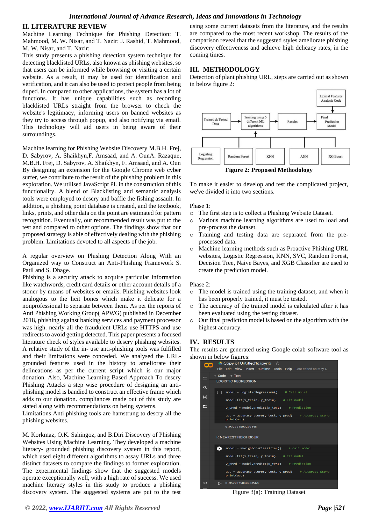### **II. LITERATURE REVIEW**

Machine Learning Technique for Phishing Detection: T. Mahmood, M. W. Nisar, and T. Nazir: J. Rashid, T. Mahmood, M. W. Nisar, and T. Nazir:

This study presents a phishing detection system technique for detecting blacklisted URLs, also known as phishing websites, so that users can be informed while browsing or visiting a certain website. As a result, it may be used for identification and verification, and it can also be used to protect people from being duped. In compared to other applications, the system has a lot of functions. It has unique capabilities such as recording blacklisted URLs straight from the browser to check the website's legitimacy, informing users on banned websites as they try to access through popup, and also notifying via email. This technology will aid users in being aware of their surroundings.

Machine learning for Phishing Website Discovery M.B.H. Frej, D. Sabyrov, A. Shaikhyn,F. Amsaad, and A. OunA. Razaque, M.B.H. Frej, D. Sabyrov, A. Shaikhyn, F. Amsaad, and A. Oun By designing an extension for the Google Chrome web cyber surfer, we contribute to the result of the phishing problem in this exploration. We utilised JavaScript PL in the construction of this functionality. A blend of Blacklisting and semantic analysis tools were employed to descry and baffle the fishing assault. In addition, a phishing point database is created, and the textbook, links, prints, and other data on the point are estimated for pattern recognition. Eventually, our recommended result was put to the test and compared to other options. The findings show that our proposed strategy is able of effectively dealing with the phishing problem. Limitations devoted to all aspects of the job.

A regular overview on Phishing Detection Along With an Organized way to Construct an Anti-Phishing Framework S. Patil and S. Dhage.

Phishing is a security attack to acquire particular information like watchwords, credit card details or other account details of a stoner by means of websites or emails. Phishing websites look analogous to the licit bones which make it delicate for a nonprofessional to separate between them. As per the reports of Anti Phishing Working Group( APWG) published in December 2018, phishing against banking services and payment processor was high. nearly all the fraudulent URLs use HTTPS and use redirects to avoid getting detected. This paper presents a focused literature check of styles available to descry phishing websites. A relative study of the in- use anti-phishing tools was fulfilled and their limitations were conceded. We analysed the URLgrounded features used in the history to ameliorate their delineations as per the current script which is our major donation. Also, Machine Learning Based Approach To descry Phishing Attacks a step wise procedure of designing an antiphishing model is bandied to construct an effective frame which adds to our donation. compliances made out of this study are stated along with recommendations on being systems.

Limitations Anti phishing tools are hamstrung to descry all the phishing websites.

M. Korkmaz, O.K. Sahingoz, and B.Diri Discovery of Phishing Websites Using Machine Learning. They developed a machine literacy- grounded phishing discovery system in this report, which used eight different algorithms to assay URLs and three distinct datasets to compare the findings to former exploration. The experimental findings show that the suggested models operate exceptionally well, with a high rate of success. We used machine literacy styles in this study to produce a phishing discovery system. The suggested systems are put to the test

using some current datasets from the literature, and the results are compared to the most recent workshop. The results of the comparison reveal that the suggested styles ameliorate phishing discovery effectiveness and achieve high delicacy rates, in the coming times.

# **III. METHODOLOGY**

Detection of plant phishing URL, steps are carried out as shown in below figure 2:



To make it easier to develop and test the complicated project, we've divided it into two sections.

Phase 1:

- o The first step is to collect a Phishing Website Dataset.
- o Various machine learning algorithms are used to load and pre-process the dataset.
- o Training and testing data are separated from the preprocessed data.
- o Machine learning methods such as Proactive Phishing URL websites, Logistic Regression, KNN, SVC, Random Forest, Decision Tree, Naive Bayes, and XGB Classifier are used to create the prediction model.

Phase 2:

- o The model is trained using the training dataset, and when it has been properly trained, it must be tested.
- o The accuracy of the trained model is calculated after it has been evaluated using the testing dataset.
- o Our final prediction model is based on the algorithm with the highest accuracy.

## **IV. RESULTS**

The results are generated using Google colab software tool as shown in below figures:

| <b>a</b>             | $\triangle$ Copy of Untitled 16. ipynb $\hat{x}$<br>File Edit View Insert Runtime Tools Help Last edited on May 4 |  |  |  |  |
|----------------------|-------------------------------------------------------------------------------------------------------------------|--|--|--|--|
| $+ Code + Text$<br>≡ |                                                                                                                   |  |  |  |  |
| $\alpha$             | <b>LOGISTIC REGRESSION</b>                                                                                        |  |  |  |  |
|                      | $model = LogisticRegression()$ # Call model<br>$\Box$                                                             |  |  |  |  |
| $\{x\}$              | model.fit(x train, y train) # Fit model                                                                           |  |  |  |  |
| ▭                    | $y$ pred = model.predict(x_test) # Prediction                                                                     |  |  |  |  |
|                      | $acc = accuracy score(y test, y pred)$ # Accuracy Score<br>print(acc)                                             |  |  |  |  |
|                      | 0.937584803256445                                                                                                 |  |  |  |  |
|                      | <b>K NEAREST NEIGHBOUR</b>                                                                                        |  |  |  |  |
|                      | $model = KNeighborsClassifier()$ # Call model<br>$\bullet$                                                        |  |  |  |  |
|                      | model.fit(x train, y train) # Fit model                                                                           |  |  |  |  |
|                      | $y$ pred = model.predict(x test) # Prediction                                                                     |  |  |  |  |
|                      | $acc = accuracy score(y test, y pred)$ # Accuracy Score<br>print(acc)                                             |  |  |  |  |
| くゝ                   | 0.9579375848032564<br>г→                                                                                          |  |  |  |  |

Figure 3(a): Training Dataset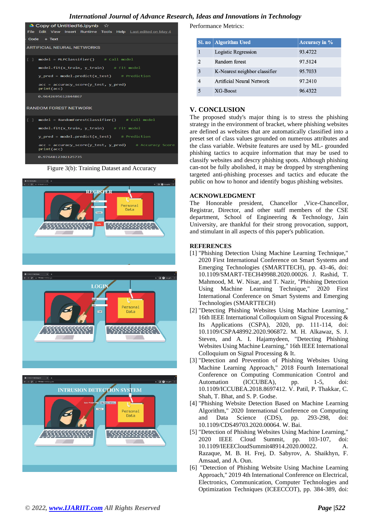# *International Journal of Advance Research, Ideas and Innovations in Technology*

| $\triangle$ Copy of Untitled16.ipynb $\hat{\varpropto}$             |  |  |  |  |  |
|---------------------------------------------------------------------|--|--|--|--|--|
| File Edit View Insert Runtime Tools Help Last edited on May 4       |  |  |  |  |  |
| $Code + Text$                                                       |  |  |  |  |  |
| <b>ARTIFICIAL NEURAL NETWORKS</b>                                   |  |  |  |  |  |
| $model = MLPClassifier()$ # Call model<br>r 1                       |  |  |  |  |  |
| $model.fit(x train, y train)$ # Fit model                           |  |  |  |  |  |
| $y$ pred = model.predict(x test) # Prediction                       |  |  |  |  |  |
| $acc = accuracy score(y test, y pred)$<br>print(acc)                |  |  |  |  |  |
| 0.9642695612844867                                                  |  |  |  |  |  |
| <b>RANDOM FOREST NETWORK</b>                                        |  |  |  |  |  |
| model = RandomForestClassifier() # Call model<br>L 1                |  |  |  |  |  |
| model.fit(x train, y train) # Fit model                             |  |  |  |  |  |
| $y$ pred = model.predict(x test) # Prediction                       |  |  |  |  |  |
| acc = accuracy_score(y_test, y_pred) # Accuracy Score<br>print(acc) |  |  |  |  |  |
| 0.9764812302125735                                                  |  |  |  |  |  |

Figure 3(b): Training Dataset and Accuracy







Performance Metrics:

|                | Sl. no   Algorithm Used       | <b>Accuracy in %</b> |
|----------------|-------------------------------|----------------------|
|                | Logistic Regression           | 93.4722              |
| $\mathfrak{D}$ | Random forest                 | 97.5124              |
| 3              | K-Nearest neighbor classifier | 95.7033              |
|                | Artificial Neural Network     | 97.2410              |
|                | XG-Boost                      | 96.4322              |

# **V. CONCLUSION**

The proposed study's major thing is to stress the phishing strategy in the environment of bracket, where phishing websites are defined as websites that are automatically classified into a preset set of class values grounded on numerous attributes and the class variable. Website features are used by ML- grounded phishing tactics to acquire information that may be used to classify websites and descry phishing spots. Although phishing can-not be fully abolished, it may be dropped by strengthening targeted anti-phishing processes and tactics and educate the public on how to honor and identify bogus phishing websites.

### **ACKNOWLEDGMENT**

The Honorable president, Chancellor ,Vice-Chancellor, Registrar, Director, and other staff members of the CSE department, School of Engineering & Technology, Jain University, are thankful for their strong provocation, support, and stimulant in all aspects of this paper's publication.

#### **REFERENCES**

- [1] "Phishing Detection Using Machine Learning Technique," 2020 First International Conference on Smart Systems and Emerging Technologies (SMARTTECH), pp. 43-46, doi: 10.1109/SMART-TECH49988.2020.00026. J. Rashid, T. Mahmood, M. W. Nisar, and T. Nazir, "Phishing Detection Using Machine Learning Technique," 2020 First International Conference on Smart Systems and Emerging Technologies (SMARTTECH)
- [2] "Detecting Phishing Websites Using Machine Learning," 16th IEEE International Colloquium on Signal Processing & Its Applications (CSPA), 2020, pp. 111-114, doi: 10.1109/CSPA48992.2020.906872. M. H. Alkawaz, S. J. Steven, and A. I. Hajamydeen, "Detecting Phishing Websites Using Machine Learning," 16th IEEE International Colloquium on Signal Processing & It.
- [3] "Detection and Prevention of Phishing Websites Using Machine Learning Approach," 2018 Fourth International Conference on Computing Communication Control and Automation (ICCUBEA), pp. 1-5, doi: 10.1109/ICCUBEA.2018.8697412. V. Patil, P. Thakkar, C. Shah, T. Bhat, and S. P. Godse.
- [4] "Phishing Website Detection Based on Machine Learning Algorithm," 2020 International Conference on Computing and Data Science (CDS), pp. 293-298, doi: 10.1109/CDS49703.2020.00064. W. Bai.
- [5] "Detection of Phishing Websites Using Machine Learning," 2020 IEEE Cloud Summit, pp. 103-107, doi: 10.1109/IEEECloudSummit48914.2020.00022. A. Razaque, M. B. H. Frej, D. Sabyrov, A. Shaikhyn, F. Amsaad, and A. Oun.
- [6] "Detection of Phishing Website Using Machine Learning Approach," 2019 4th International Conference on Electrical, Electronics, Communication, Computer Technologies and Optimization Techniques (ICEECCOT), pp. 384-389, doi: